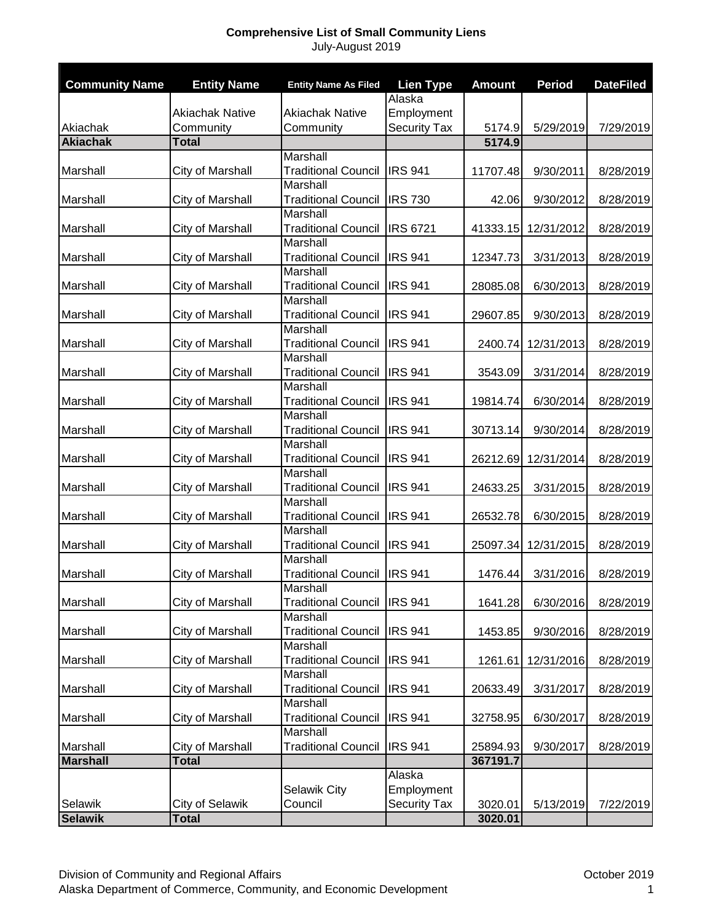## **Comprehensive List of Small Community Liens** July-August 2019

| <b>Community Name</b> | <b>Entity Name</b>     | <b>Entity Name As Filed</b> | <b>Lien Type</b>    | <b>Amount</b> | <b>Period</b> | <b>DateFiled</b> |
|-----------------------|------------------------|-----------------------------|---------------------|---------------|---------------|------------------|
|                       |                        |                             | Alaska              |               |               |                  |
|                       | <b>Akiachak Native</b> | <b>Akiachak Native</b>      | Employment          |               |               |                  |
| Akiachak              | Community              | Community                   | <b>Security Tax</b> | 5174.9        | 5/29/2019     | 7/29/2019        |
| <b>Akiachak</b>       | <b>Total</b>           |                             |                     | 5174.9        |               |                  |
|                       |                        | <b>Marshall</b>             |                     |               |               |                  |
| Marshall              | City of Marshall       | <b>Traditional Council</b>  | <b>IRS 941</b>      | 11707.48      | 9/30/2011     | 8/28/2019        |
|                       |                        | <b>Marshall</b>             |                     |               |               |                  |
| Marshall              | City of Marshall       | <b>Traditional Council</b>  | <b>IRS 730</b>      | 42.06         | 9/30/2012     | 8/28/2019        |
|                       |                        | Marshall                    |                     |               |               |                  |
| Marshall              | City of Marshall       | <b>Traditional Council</b>  | <b>IRS 6721</b>     | 41333.15      | 12/31/2012    | 8/28/2019        |
|                       |                        | Marshall                    |                     |               |               |                  |
| Marshall              | City of Marshall       | <b>Traditional Council</b>  | <b>IRS 941</b>      | 12347.73      | 3/31/2013     | 8/28/2019        |
|                       |                        | Marshall                    |                     |               |               |                  |
| Marshall              | City of Marshall       | <b>Traditional Council</b>  | <b>IRS 941</b>      | 28085.08      | 6/30/2013     | 8/28/2019        |
|                       |                        | <b>Marshall</b>             |                     |               |               |                  |
| Marshall              | City of Marshall       | <b>Traditional Council</b>  | <b>IRS 941</b>      | 29607.85      | 9/30/2013     | 8/28/2019        |
|                       |                        | Marshall                    |                     |               |               |                  |
| Marshall              | City of Marshall       | <b>Traditional Council</b>  | <b>IRS 941</b>      | 2400.74       | 12/31/2013    | 8/28/2019        |
|                       |                        | Marshall                    |                     |               |               |                  |
| Marshall              | City of Marshall       | <b>Traditional Council</b>  | <b>IRS 941</b>      | 3543.09       | 3/31/2014     | 8/28/2019        |
|                       |                        | Marshall                    |                     |               |               |                  |
| Marshall              | City of Marshall       | <b>Traditional Council</b>  | <b>IRS 941</b>      | 19814.74      | 6/30/2014     | 8/28/2019        |
|                       |                        | Marshall                    |                     |               |               |                  |
| Marshall              | City of Marshall       | <b>Traditional Council</b>  | <b>IRS 941</b>      | 30713.14      | 9/30/2014     | 8/28/2019        |
|                       |                        | Marshall                    |                     |               |               |                  |
| Marshall              | City of Marshall       | <b>Traditional Council</b>  | <b>IRS 941</b>      | 26212.69      | 12/31/2014    | 8/28/2019        |
|                       |                        | Marshall                    |                     |               |               |                  |
| Marshall              | City of Marshall       | <b>Traditional Council</b>  | <b>IRS 941</b>      | 24633.25      | 3/31/2015     | 8/28/2019        |
|                       |                        | Marshall                    |                     |               |               |                  |
| Marshall              | City of Marshall       | <b>Traditional Council</b>  | <b>IRS 941</b>      | 26532.78      | 6/30/2015     | 8/28/2019        |
|                       |                        | <b>Marshall</b>             |                     |               |               |                  |
| Marshall              | City of Marshall       | <b>Traditional Council</b>  | <b>IRS 941</b>      | 25097.34      | 12/31/2015    | 8/28/2019        |
|                       |                        | Marshall                    |                     |               |               |                  |
| Marshall              | City of Marshall       | <b>Traditional Council</b>  | <b>IRS 941</b>      | 1476.44       | 3/31/2016     | 8/28/2019        |
|                       |                        | Marshall                    |                     |               |               |                  |
| Marshall              | City of Marshall       | <b>Traditional Council</b>  | <b>IRS 941</b>      | 1641.28       | 6/30/2016     | 8/28/2019        |
|                       |                        | Marshall                    |                     |               |               |                  |
| Marshall              | City of Marshall       | <b>Traditional Council</b>  | <b>IRS 941</b>      | 1453.85       | 9/30/2016     | 8/28/2019        |
|                       |                        | Marshall                    |                     |               |               |                  |
| Marshall              | City of Marshall       | <b>Traditional Council</b>  | <b>IRS 941</b>      | 1261.61       | 12/31/2016    | 8/28/2019        |
|                       |                        | Marshall                    |                     |               |               |                  |
| Marshall              | City of Marshall       | <b>Traditional Council</b>  | <b>IRS 941</b>      | 20633.49      | 3/31/2017     | 8/28/2019        |
|                       |                        | Marshall                    |                     |               |               |                  |
| Marshall              | City of Marshall       | <b>Traditional Council</b>  | <b>IRS 941</b>      | 32758.95      | 6/30/2017     | 8/28/2019        |
|                       |                        | Marshall                    |                     |               |               |                  |
| Marshall              | City of Marshall       | <b>Traditional Council</b>  | <b>IRS 941</b>      | 25894.93      | 9/30/2017     | 8/28/2019        |
| <b>Marshall</b>       | <b>Total</b>           |                             |                     | 367191.7      |               |                  |
|                       |                        |                             | Alaska              |               |               |                  |
|                       |                        | Selawik City                | Employment          |               |               |                  |
| Selawik               | City of Selawik        | Council                     | Security Tax        | 3020.01       | 5/13/2019     | 7/22/2019        |
| <b>Selawik</b>        | <b>Total</b>           |                             |                     | 3020.01       |               |                  |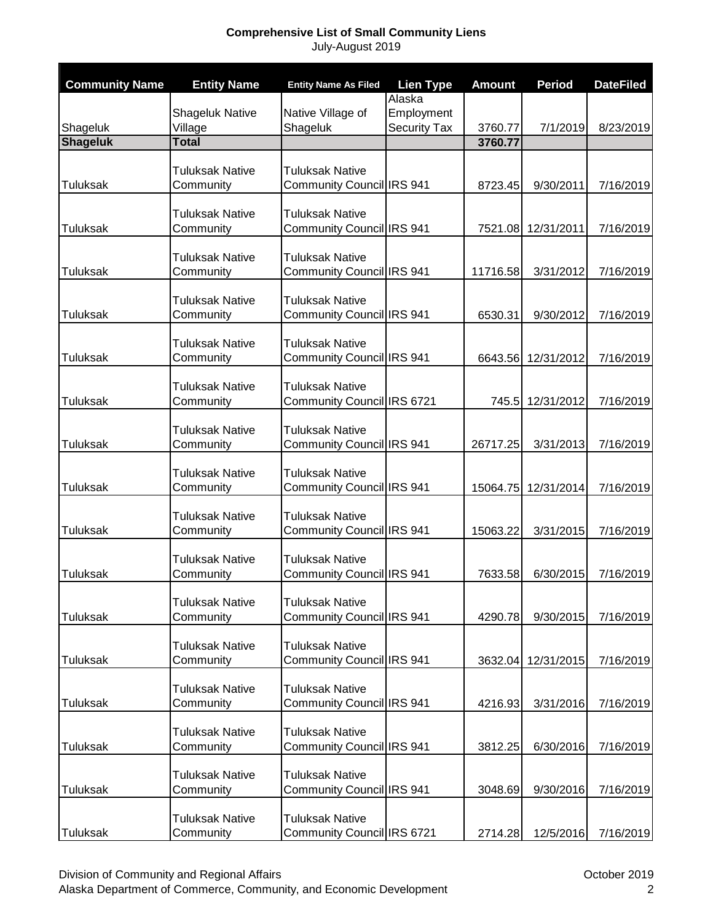## **Comprehensive List of Small Community Liens** July-August 2019

| <b>Community Name</b>       | <b>Entity Name</b>                | <b>Entity Name As Filed</b>                         | <b>Lien Type</b>    | <b>Amount</b> | <b>Period</b>      | <b>DateFiled</b> |
|-----------------------------|-----------------------------------|-----------------------------------------------------|---------------------|---------------|--------------------|------------------|
|                             |                                   |                                                     | Alaska              |               |                    |                  |
|                             | <b>Shageluk Native</b><br>Village | Native Village of                                   | Employment          | 3760.77       | 7/1/2019           | 8/23/2019        |
| Shageluk<br><b>Shageluk</b> | <b>Total</b>                      | Shageluk                                            | <b>Security Tax</b> | 3760.77       |                    |                  |
|                             |                                   |                                                     |                     |               |                    |                  |
|                             | <b>Tuluksak Native</b>            | <b>Tuluksak Native</b>                              |                     |               |                    |                  |
| <b>Tuluksak</b>             | Community                         | Community Council IRS 941                           |                     | 8723.45       | 9/30/2011          | 7/16/2019        |
|                             | <b>Tuluksak Native</b>            | <b>Tuluksak Native</b>                              |                     |               |                    |                  |
| Tuluksak                    | Community                         | <b>Community Council IRS 941</b>                    |                     | 7521.08       | 12/31/2011         | 7/16/2019        |
|                             |                                   |                                                     |                     |               |                    |                  |
|                             | Tuluksak Native                   | <b>Tuluksak Native</b>                              |                     |               |                    |                  |
| Tuluksak                    | Community                         | Community Council IRS 941                           |                     | 11716.58      | 3/31/2012          | 7/16/2019        |
|                             | <b>Tuluksak Native</b>            | <b>Tuluksak Native</b>                              |                     |               |                    |                  |
| Tuluksak                    | Community                         | Community Council IRS 941                           |                     | 6530.31       | 9/30/2012          | 7/16/2019        |
|                             |                                   |                                                     |                     |               |                    |                  |
|                             | <b>Tuluksak Native</b>            | <b>Tuluksak Native</b>                              |                     |               |                    |                  |
| <b>Tuluksak</b>             | Community                         | Community Council IRS 941                           |                     |               | 6643.56 12/31/2012 | 7/16/2019        |
|                             | <b>Tuluksak Native</b>            | <b>Tuluksak Native</b>                              |                     |               |                    |                  |
| <b>Tuluksak</b>             | Community                         | Community Council IRS 6721                          |                     | 745.5         | 12/31/2012         | 7/16/2019        |
|                             |                                   |                                                     |                     |               |                    |                  |
|                             | <b>Tuluksak Native</b>            | <b>Tuluksak Native</b>                              |                     |               |                    |                  |
| <b>Tuluksak</b>             | Community                         | Community Council IRS 941                           |                     | 26717.25      | 3/31/2013          | 7/16/2019        |
|                             | <b>Tuluksak Native</b>            | <b>Tuluksak Native</b>                              |                     |               |                    |                  |
| <b>Tuluksak</b>             | Community                         | <b>Community Council IRS 941</b>                    |                     | 15064.75      | 12/31/2014         | 7/16/2019        |
|                             |                                   |                                                     |                     |               |                    |                  |
|                             | <b>Tuluksak Native</b>            | <b>Tuluksak Native</b>                              |                     |               |                    |                  |
| Tuluksak                    | Community                         | <b>Community Council IRS 941</b>                    |                     | 15063.22      | 3/31/2015          | 7/16/2019        |
|                             | <b>Tuluksak Native</b>            | <b>Tuluksak Native</b>                              |                     |               |                    |                  |
| Tuluksak                    | Community                         | Community Council IRS 941                           |                     | 7633.58       | 6/30/2015          | 7/16/2019        |
|                             |                                   |                                                     |                     |               |                    |                  |
|                             | <b>Tuluksak Native</b>            | <b>Tuluksak Native</b>                              |                     |               |                    |                  |
| Tuluksak                    | Community                         | Community Council IRS 941                           |                     | 4290.78       | 9/30/2015          | 7/16/2019        |
|                             | <b>Tuluksak Native</b>            | <b>Tuluksak Native</b>                              |                     |               |                    |                  |
| Tuluksak                    | Community                         | Community Council IRS 941                           |                     | 3632.04       | 12/31/2015         | 7/16/2019        |
|                             |                                   |                                                     |                     |               |                    |                  |
|                             | <b>Tuluksak Native</b>            | <b>Tuluksak Native</b><br>Community Council IRS 941 |                     |               |                    |                  |
| Tuluksak                    | Community                         |                                                     |                     | 4216.93       | 3/31/2016          | 7/16/2019        |
|                             | <b>Tuluksak Native</b>            | <b>Tuluksak Native</b>                              |                     |               |                    |                  |
| <b>Tuluksak</b>             | Community                         | Community Council IRS 941                           |                     | 3812.25       | 6/30/2016          | 7/16/2019        |
|                             |                                   |                                                     |                     |               |                    |                  |
| Tuluksak                    | <b>Tuluksak Native</b>            | <b>Tuluksak Native</b>                              |                     |               |                    |                  |
|                             | Community                         | Community Council IRS 941                           |                     | 3048.69       | 9/30/2016          | 7/16/2019        |
|                             | <b>Tuluksak Native</b>            | <b>Tuluksak Native</b>                              |                     |               |                    |                  |
| Tuluksak                    | Community                         | Community Council IRS 6721                          |                     | 2714.28       | 12/5/2016          | 7/16/2019        |